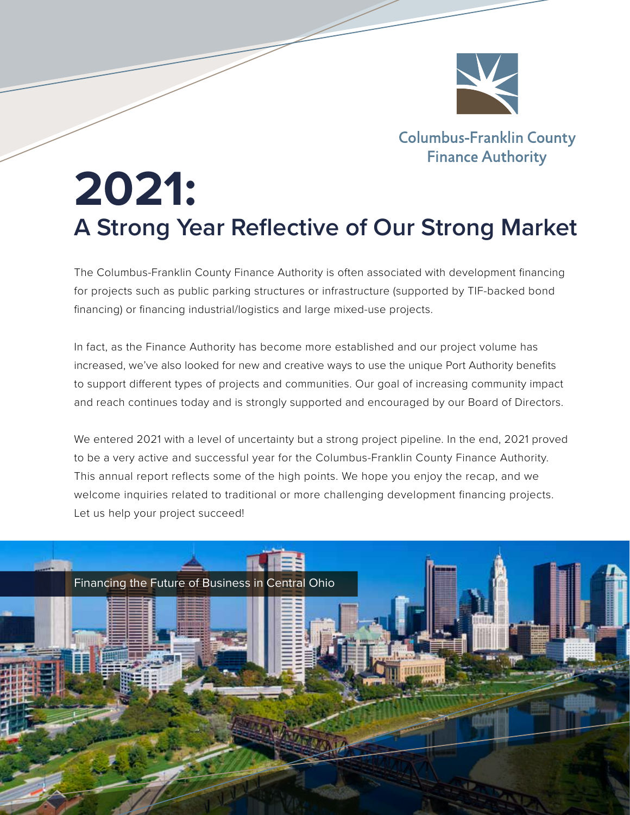

**Columbus-Franklin County Finance Authority** 

# **2021: A Strong Year Reflective of Our Strong Market**

The Columbus-Franklin County Finance Authority is often associated with development financing for projects such as public parking structures or infrastructure (supported by TIF-backed bond financing) or financing industrial/logistics and large mixed-use projects.

In fact, as the Finance Authority has become more established and our project volume has increased, we've also looked for new and creative ways to use the unique Port Authority benefits to support different types of projects and communities. Our goal of increasing community impact and reach continues today and is strongly supported and encouraged by our Board of Directors.

We entered 2021 with a level of uncertainty but a strong project pipeline. In the end, 2021 proved to be a very active and successful year for the Columbus-Franklin County Finance Authority. This annual report reflects some of the high points. We hope you enjoy the recap, and we welcome inquiries related to traditional or more challenging development financing projects. Let us help your project succeed!

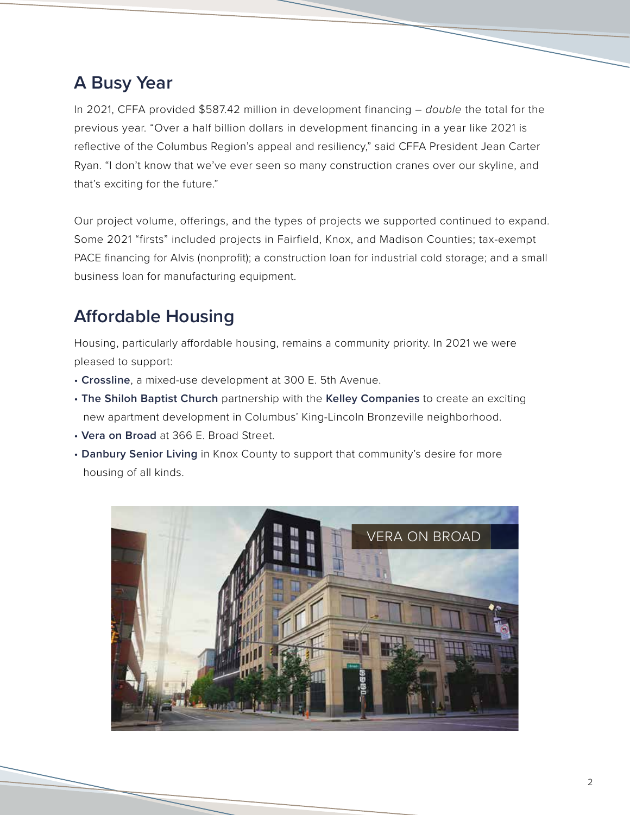# **A Busy Year**

In 2021, CFFA provided \$587.42 million in development financing – *double* the total for the previous year. "Over a half billion dollars in development financing in a year like 2021 is reflective of the Columbus Region's appeal and resiliency," said CFFA President Jean Carter Ryan. "I don't know that we've ever seen so many construction cranes over our skyline, and that's exciting for the future."

Our project volume, offerings, and the types of projects we supported continued to expand. Some 2021 "firsts" included projects in Fairfield, Knox, and Madison Counties; tax-exempt PACE financing for Alvis (nonprofit); a construction loan for industrial cold storage; and a small business loan for manufacturing equipment.

# **Affordable Housing**

Housing, particularly affordable housing, remains a community priority. In 2021 we were pleased to support:

- • **Crossline**, a mixed-use development at 300 E. 5th Avenue.
- **The Shiloh Baptist Church** partnership with the **Kelley Companies** to create an exciting new apartment development in Columbus' King-Lincoln Bronzeville neighborhood.
- **Vera on Broad** at 366 E. Broad Street.
- **Danbury Senior Living** in Knox County to support that community's desire for more housing of all kinds.

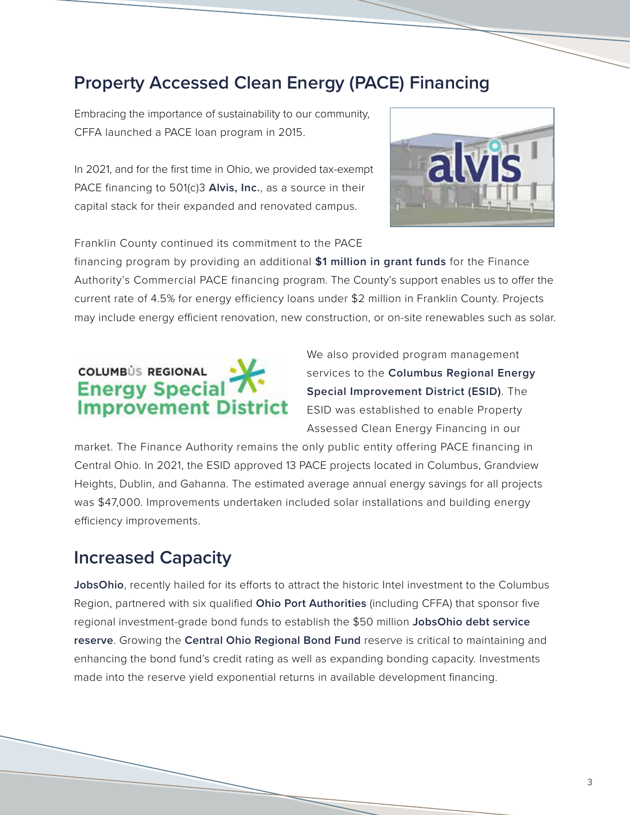## **Property Accessed Clean Energy (PACE) Financing**

Embracing the importance of sustainability to our community, CFFA launched a PACE loan program in 2015.

In 2021, and for the first time in Ohio, we provided tax-exempt PACE financing to 501(c)3 **Alvis, Inc.**, as a source in their capital stack for their expanded and renovated campus.



Franklin County continued its commitment to the PACE

financing program by providing an additional **\$1 million in grant funds** for the Finance Authority's Commercial PACE financing program. The County's support enables us to offer the current rate of 4.5% for energy efficiency loans under \$2 million in Franklin County. Projects may include energy efficient renovation, new construction, or on-site renewables such as solar.

# **COLUMBÚS REGIONAL Energy Specia Improvement District**

We also provided program management services to the **Columbus Regional Energy Special Improvement District (ESID)**. The ESID was established to enable Property Assessed Clean Energy Financing in our

market. The Finance Authority remains the only public entity offering PACE financing in Central Ohio. In 2021, the ESID approved 13 PACE projects located in Columbus, Grandview Heights, Dublin, and Gahanna. The estimated average annual energy savings for all projects was \$47,000. Improvements undertaken included solar installations and building energy efficiency improvements.

#### **Increased Capacity**

**JobsOhio**, recently hailed for its efforts to attract the historic Intel investment to the Columbus Region, partnered with six qualified **Ohio Port Authorities** (including CFFA) that sponsor five regional investment-grade bond funds to establish the \$50 million **JobsOhio debt service reserve**. Growing the **Central Ohio Regional Bond Fund** reserve is critical to maintaining and enhancing the bond fund's credit rating as well as expanding bonding capacity. Investments made into the reserve yield exponential returns in available development financing.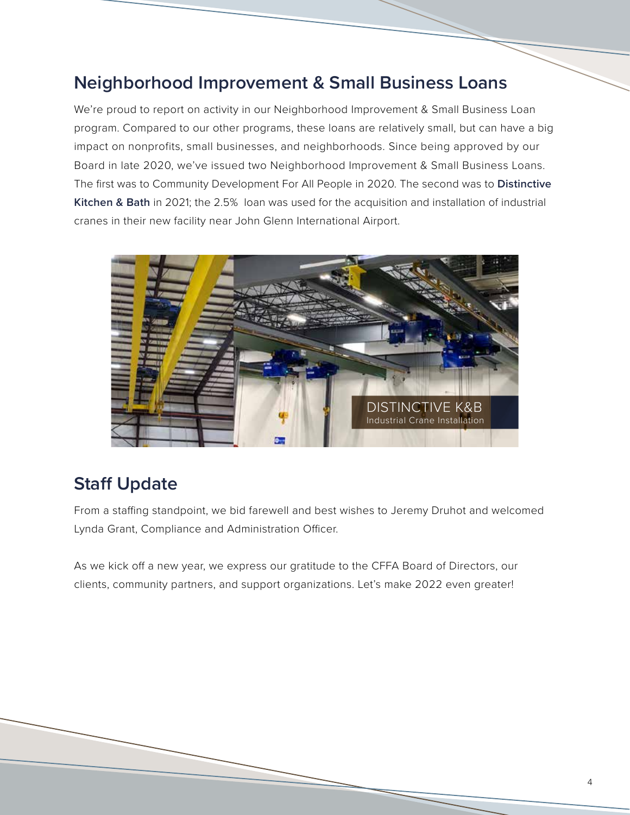## **Neighborhood Improvement & Small Business Loans**

We're proud to report on activity in our Neighborhood Improvement & Small Business Loan program. Compared to our other programs, these loans are relatively small, but can have a big impact on nonprofits, small businesses, and neighborhoods. Since being approved by our Board in late 2020, we've issued two Neighborhood Improvement & Small Business Loans. The first was to Community Development For All People in 2020. The second was to **Distinctive Kitchen & Bath** in 2021; the 2.5% loan was used for the acquisition and installation of industrial cranes in their new facility near John Glenn International Airport.



## **Staff Update**

From a staffing standpoint, we bid farewell and best wishes to Jeremy Druhot and welcomed Lynda Grant, Compliance and Administration Officer.

As we kick off a new year, we express our gratitude to the CFFA Board of Directors, our clients, community partners, and support organizations. Let's make 2022 even greater!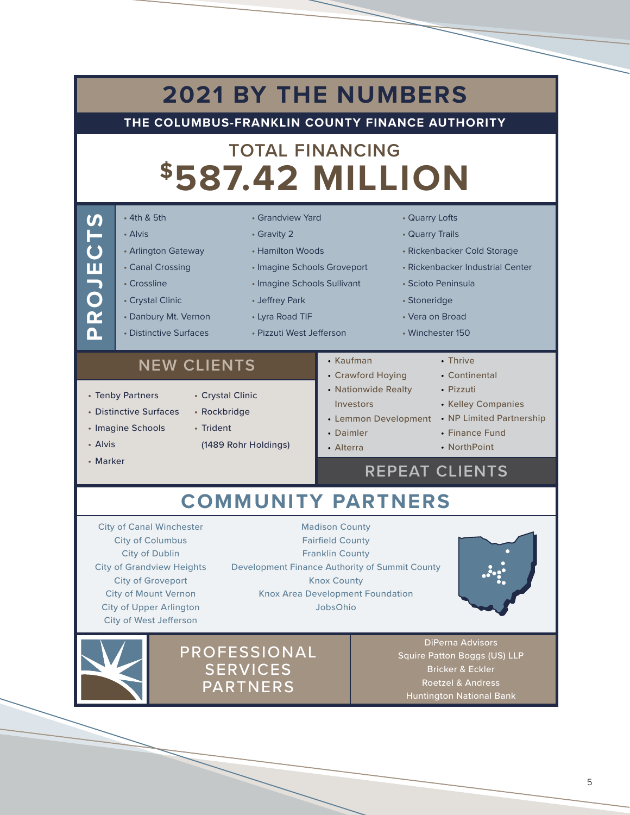| • 4th & 5th<br>• Grandview Yard<br>PROJECTS<br>• Alvis<br>• Gravity 2<br>• Arlington Gateway<br>• Hamilton Woods<br>• Canal Crossing<br>• Imagine Schools Groveport<br>• Crossline<br>• Imagine Schools Sullivant<br>• Crystal Clinic<br>• Jeffrey Park<br>• Danbury Mt. Vernon<br>• Lyra Road TIF<br>• Distinctive Surfaces<br>• Pizzuti West Jefferson | • Quarry Lofts<br>• Quarry Trails<br>• Rickenbacker Cold Storage<br>• Rickenbacker Industrial Center<br>• Scioto Peninsula<br>• Stoneridge<br>• Vera on Broad                                |
|----------------------------------------------------------------------------------------------------------------------------------------------------------------------------------------------------------------------------------------------------------------------------------------------------------------------------------------------------------|----------------------------------------------------------------------------------------------------------------------------------------------------------------------------------------------|
| • Kaufman<br><b>NEW CLIENTS</b><br>• Crawford Hoying<br>• Nationwide Realty<br>• Tenby Partners<br>• Crystal Clinic<br>Investors<br>• Distinctive Surfaces<br>• Rockbridge<br>• Imagine Schools<br>• Trident<br>• Daimler<br>(1489 Rohr Holdings)<br>• Alvis<br>• Alterra<br>• Marker                                                                    | • Winchester 150<br>• Thrive<br>• Continental<br>• Pizzuti<br>• Kelley Companies<br>• Lemmon Development • NP Limited Partnership<br>• Finance Fund<br>• NorthPoint<br><b>REPEAT CLIENTS</b> |
| <b>COMMUNITY PARTNERS</b><br><b>City of Canal Winchester</b><br><b>Madison County</b>                                                                                                                                                                                                                                                                    |                                                                                                                                                                                              |



PROFESSIONAL **SERVICES** PARTNERS

DiPerna Advisors Squire Patton Boggs (US) LLP Bricker & Eckler Roetzel & Andress Huntington National Bank